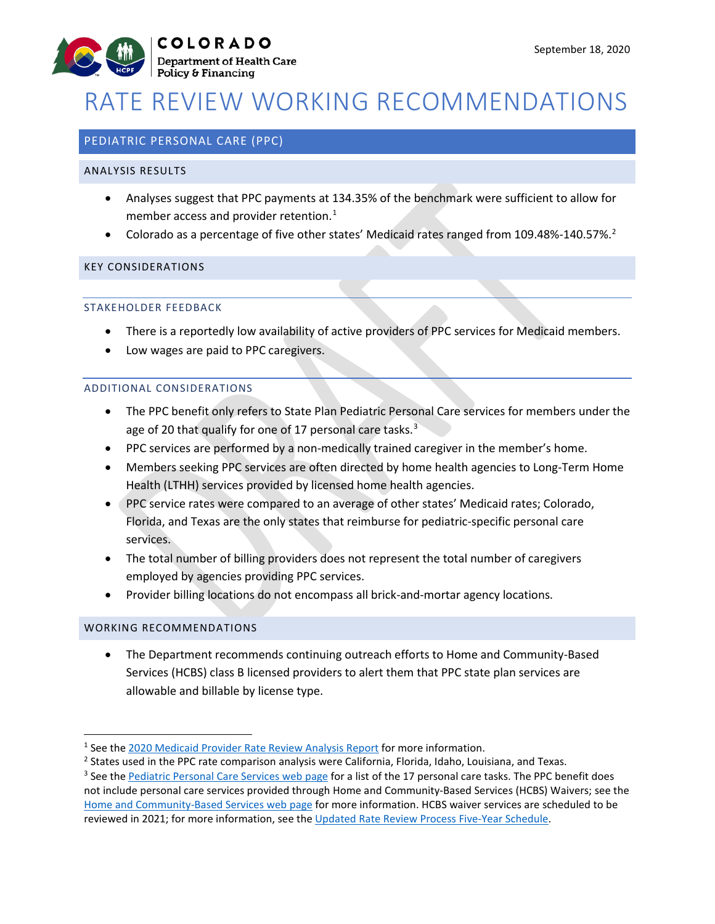

# RATE REVIEW WORKING RECOMMENDATIONS

# PEDIATRIC PERSONAL CARE (PPC)

#### ANALYSIS RESULTS

- Analyses suggest that PPC payments at 134.35% of the benchmark were sufficient to allow for member access and provider retention. $<sup>1</sup>$  $<sup>1</sup>$  $<sup>1</sup>$ </sup>
- Colorado as a percentage of five other states' Medicaid rates ranged from 109.48%-140.57%.<sup>[2](#page-0-1)</sup>

### KEY CONSIDERATIONS

## STAKEHOLDER FEEDBACK

- There is a reportedly low availability of active providers of PPC services for Medicaid members.
- Low wages are paid to PPC caregivers.

### ADDITIONAL CONSIDERATIONS

- The PPC benefit only refers to State Plan Pediatric Personal Care services for members under the age of 20 that qualify for one of 17 personal care tasks.<sup>[3](#page-0-2)</sup>
- PPC services are performed by a non-medically trained caregiver in the member's home.
- Members seeking PPC services are often directed by home health agencies to Long-Term Home Health (LTHH) services provided by licensed home health agencies.
- PPC service rates were compared to an average of other states' Medicaid rates; Colorado, Florida, and Texas are the only states that reimburse for pediatric-specific personal care services.
- The total number of billing providers does not represent the total number of caregivers employed by agencies providing PPC services.
- Provider billing locations do not encompass all brick-and-mortar agency locations.

#### WORKING RECOMMENDATIONS

• The Department recommends continuing outreach efforts to Home and Community-Based Services (HCBS) class B licensed providers to alert them that PPC state plan services are allowable and billable by license type.

<span id="page-0-0"></span><sup>&</sup>lt;sup>1</sup> See the [2020 Medicaid Provider Rate Review Analysis Report](https://www.colorado.gov/pacific/sites/default/files/2020%20Medicaid%20Provider%20Rate%20Review%20Analysis%20Report.pdf) for more information.

<span id="page-0-2"></span><span id="page-0-1"></span><sup>&</sup>lt;sup>2</sup> States used in the PPC rate comparison analysis were California, Florida, Idaho, Louisiana, and Texas.  $3$  See the <u>Pediatric Personal Care Services web page</u> for a list of the 17 personal care tasks. The PPC benefit not include personal care services provided through Home and Community-Based Services (HCBS) Waivers; see the [Home and Community-Based Services web page](https://www.colorado.gov/pacific/hcpf/long-term-services-supports-benefits-services-glossary#Personal%20Care) for more information. HCBS waiver services are scheduled to be reviewed in 2021; for more information, see the [Updated Rate Review Process Five-Year Schedule.](https://www.colorado.gov/pacific/sites/default/files/Updated%20Rate%20Review%20Schedule_Final_July2019.pdf)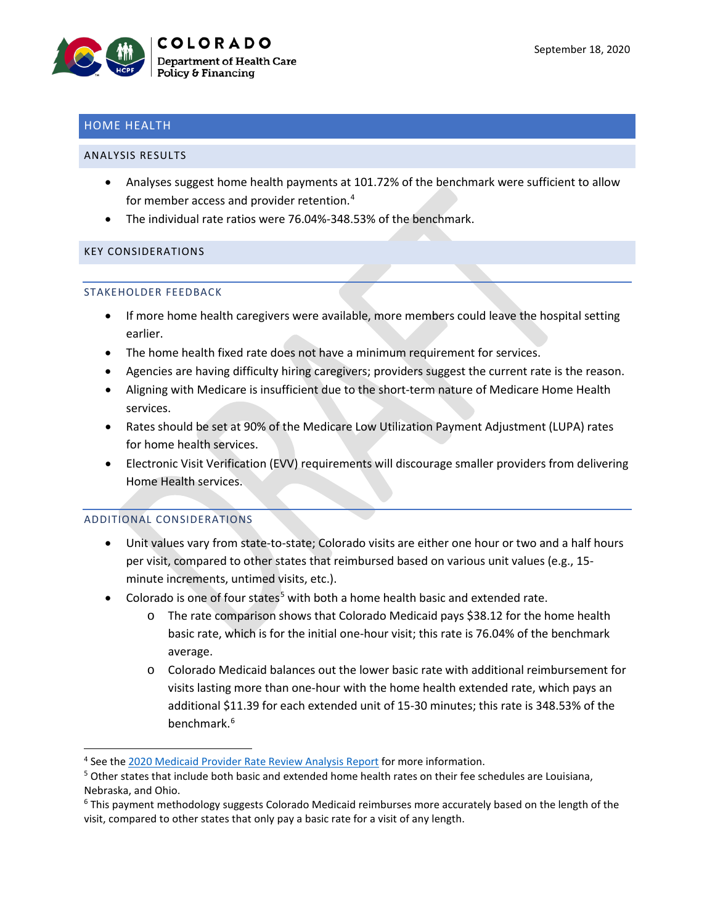# HOME HEALTH

#### ANALYSIS RESULTS

- Analyses suggest home health payments at 101.72% of the benchmark were sufficient to allow for member access and provider retention.[4](#page-1-0)
- The individual rate ratios were 76.04%-348.53% of the benchmark.

#### KEY CONSIDERATIONS

#### STAKEHOLDER FEEDBACK

- If more home health caregivers were available, more members could leave the hospital setting earlier.
- The home health fixed rate does not have a minimum requirement for services.
- Agencies are having difficulty hiring caregivers; providers suggest the current rate is the reason.
- Aligning with Medicare is insufficient due to the short-term nature of Medicare Home Health services.
- Rates should be set at 90% of the Medicare Low Utilization Payment Adjustment (LUPA) rates for home health services.
- Electronic Visit Verification (EVV) requirements will discourage smaller providers from delivering Home Health services.

## ADDITIONAL CONSIDERATIONS

- Unit values vary from state-to-state; Colorado visits are either one hour or two and a half hours per visit, compared to other states that reimbursed based on various unit values (e.g., 15 minute increments, untimed visits, etc.).
- Colorado is one of four states<sup>[5](#page-1-1)</sup> with both a home health basic and extended rate.
	- o The rate comparison shows that Colorado Medicaid pays \$38.12 for the home health basic rate, which is for the initial one-hour visit; this rate is 76.04% of the benchmark average.
	- o Colorado Medicaid balances out the lower basic rate with additional reimbursement for visits lasting more than one-hour with the home health extended rate, which pays an additional \$11.39 for each extended unit of 15-30 minutes; this rate is 348.53% of the benchmark.<sup>[6](#page-1-2)</sup>

<span id="page-1-0"></span> <sup>4</sup> See the [2020 Medicaid Provider Rate Review Analysis Report](https://www.colorado.gov/pacific/sites/default/files/2020%20Medicaid%20Provider%20Rate%20Review%20Analysis%20Report.pdf) for more information.

<span id="page-1-1"></span><sup>&</sup>lt;sup>5</sup> Other states that include both basic and extended home health rates on their fee schedules are Louisiana, Nebraska, and Ohio.

<span id="page-1-2"></span><sup>6</sup> This payment methodology suggests Colorado Medicaid reimburses more accurately based on the length of the visit, compared to other states that only pay a basic rate for a visit of any length.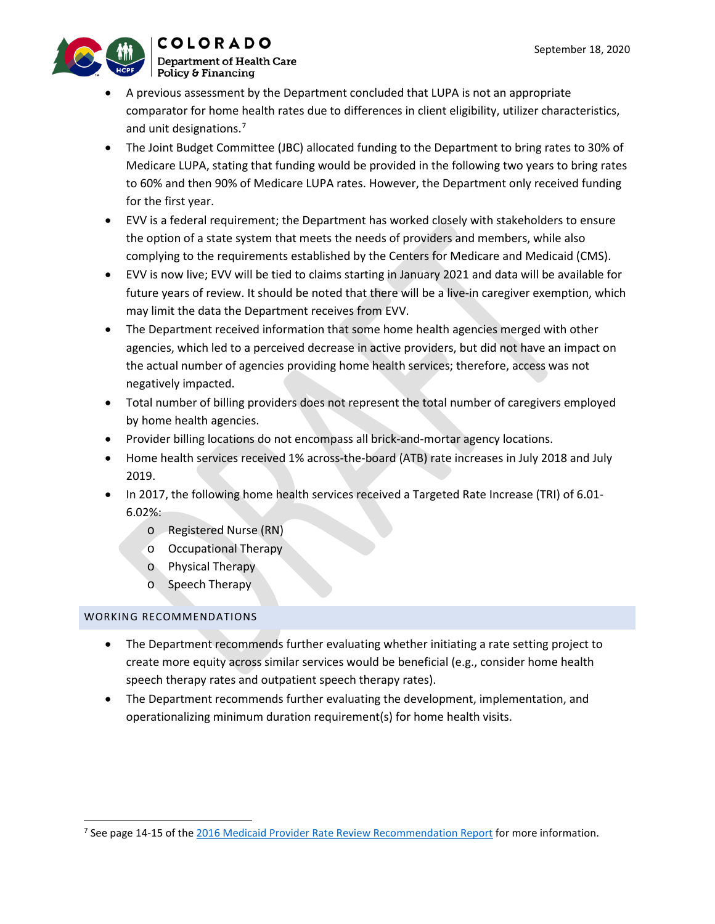

- **COLORADO Department of Health Care**
- A previous assessment by the Department concluded that LUPA is not an appropriate comparator for home health rates due to differences in client eligibility, utilizer characteristics, and unit designations.<sup>[7](#page-2-0)</sup>
- The Joint Budget Committee (JBC) allocated funding to the Department to bring rates to 30% of Medicare LUPA, stating that funding would be provided in the following two years to bring rates to 60% and then 90% of Medicare LUPA rates. However, the Department only received funding for the first year.
- EVV is a federal requirement; the Department has worked closely with stakeholders to ensure the option of a state system that meets the needs of providers and members, while also complying to the requirements established by the Centers for Medicare and Medicaid (CMS).
- EVV is now live; EVV will be tied to claims starting in January 2021 and data will be available for future years of review. It should be noted that there will be a live-in caregiver exemption, which may limit the data the Department receives from EVV.
- The Department received information that some home health agencies merged with other agencies, which led to a perceived decrease in active providers, but did not have an impact on the actual number of agencies providing home health services; therefore, access was not negatively impacted.
- Total number of billing providers does not represent the total number of caregivers employed by home health agencies.
- Provider billing locations do not encompass all brick-and-mortar agency locations.
- Home health services received 1% across-the-board (ATB) rate increases in July 2018 and July 2019.
- In 2017, the following home health services received a Targeted Rate Increase (TRI) of 6.01- 6.02%:
	- o Registered Nurse (RN)
	- o Occupational Therapy
	- o Physical Therapy
	- o Speech Therapy

- The Department recommends further evaluating whether initiating a rate setting project to create more equity across similar services would be beneficial (e.g., consider home health speech therapy rates and outpatient speech therapy rates).
- The Department recommends further evaluating the development, implementation, and operationalizing minimum duration requirement(s) for home health visits.

<span id="page-2-0"></span><sup>&</sup>lt;sup>7</sup> See page 14-15 of th[e 2016 Medicaid Provider Rate Review Recommendation Report](https://www.colorado.gov/pacific/sites/default/files/2016%20Medicaid%20Provider%20Rate%20Review%20Recommendation%20Report_0.pdf) for more information.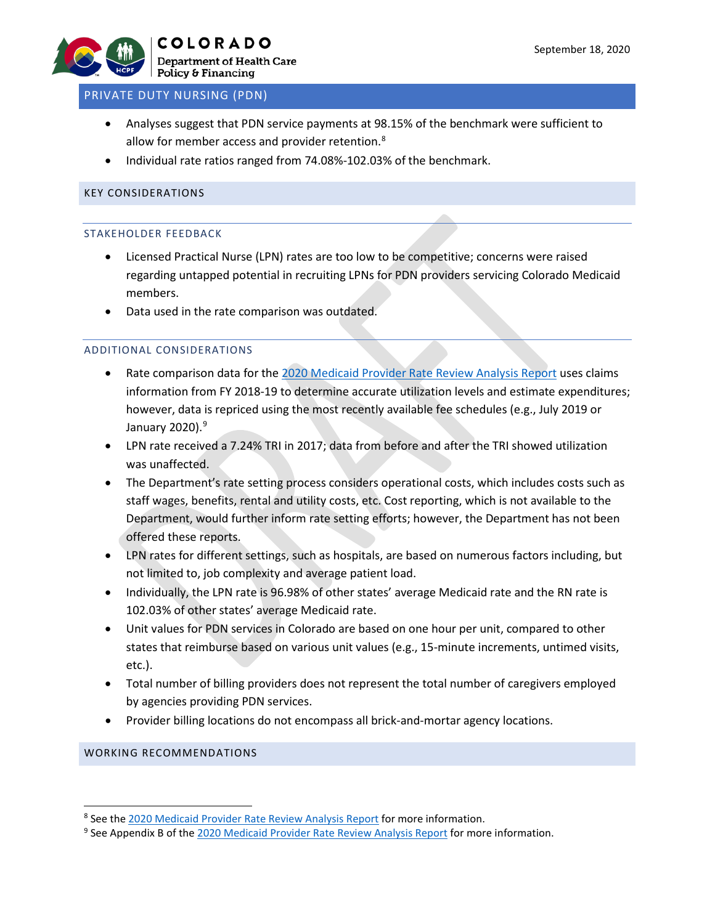

# PRIVATE DUTY NURSING (PDN)

- Analyses suggest that PDN service payments at 98.15% of the benchmark were sufficient to allow for member access and provider retention.<sup>[8](#page-3-0)</sup>
- Individual rate ratios ranged from 74.08%-102.03% of the benchmark.

## KEY CONSIDERATIONS

#### STAKEHOLDER FEEDBACK

- Licensed Practical Nurse (LPN) rates are too low to be competitive; concerns were raised regarding untapped potential in recruiting LPNs for PDN providers servicing Colorado Medicaid members.
- Data used in the rate comparison was outdated.

# ADDITIONAL CONSIDERATIONS

- Rate comparison data for the 2020 [Medicaid Provider Rate Review Analysis Report](https://www.colorado.gov/pacific/sites/default/files/2020%20Medicaid%20Provider%20Rate%20Review%20Analysis%20Report.pdf) uses claims information from FY 2018-19 to determine accurate utilization levels and estimate expenditures; however, data is repriced using the most recently available fee schedules (e.g., July 2019 or January 2020). [9](#page-3-1)
- LPN rate received a 7.24% TRI in 2017; data from before and after the TRI showed utilization was unaffected.
- The Department's rate setting process considers operational costs, which includes costs such as staff wages, benefits, rental and utility costs, etc. Cost reporting, which is not available to the Department, would further inform rate setting efforts; however, the Department has not been offered these reports.
- LPN rates for different settings, such as hospitals, are based on numerous factors including, but not limited to, job complexity and average patient load.
- Individually, the LPN rate is 96.98% of other states' average Medicaid rate and the RN rate is 102.03% of other states' average Medicaid rate.
- Unit values for PDN services in Colorado are based on one hour per unit, compared to other states that reimburse based on various unit values (e.g., 15-minute increments, untimed visits, etc.).
- Total number of billing providers does not represent the total number of caregivers employed by agencies providing PDN services.
- Provider billing locations do not encompass all brick-and-mortar agency locations.

<span id="page-3-0"></span> <sup>8</sup> See the [2020 Medicaid Provider Rate Review Analysis Report](https://www.colorado.gov/pacific/sites/default/files/2020%20Medicaid%20Provider%20Rate%20Review%20Analysis%20Report.pdf) for more information.

<span id="page-3-1"></span><sup>9</sup> See Appendix B of the [2020 Medicaid Provider Rate Review Analysis Report](https://www.colorado.gov/pacific/sites/default/files/2020%20Medicaid%20Provider%20Rate%20Review%20Analysis%20Report.pdf) for more information.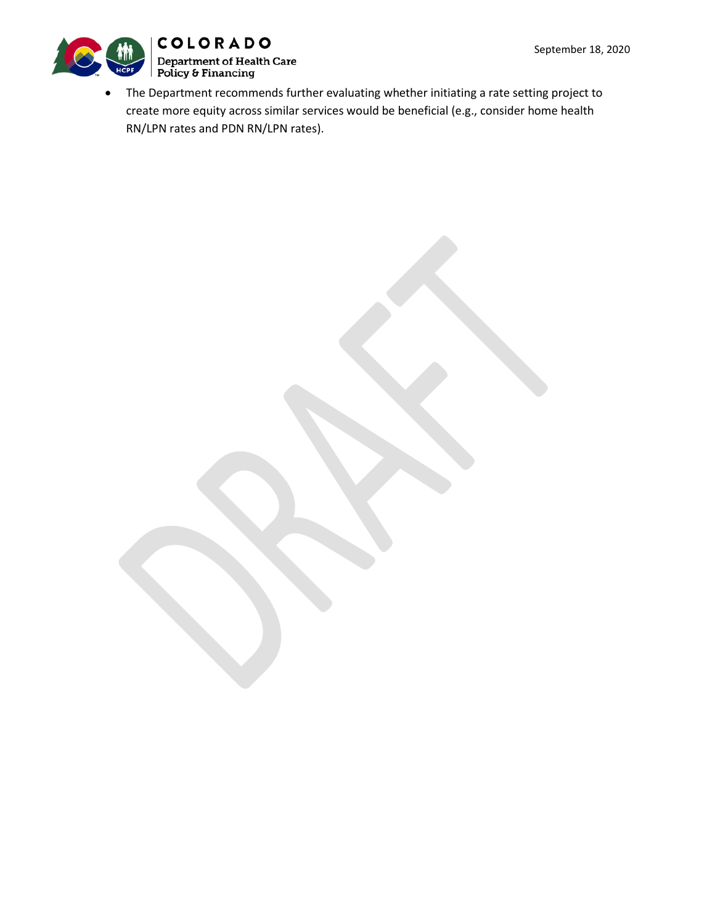

• The Department recommends further evaluating whether initiating a rate setting project to create more equity across similar services would be beneficial (e.g., consider home health RN/LPN rates and PDN RN/LPN rates).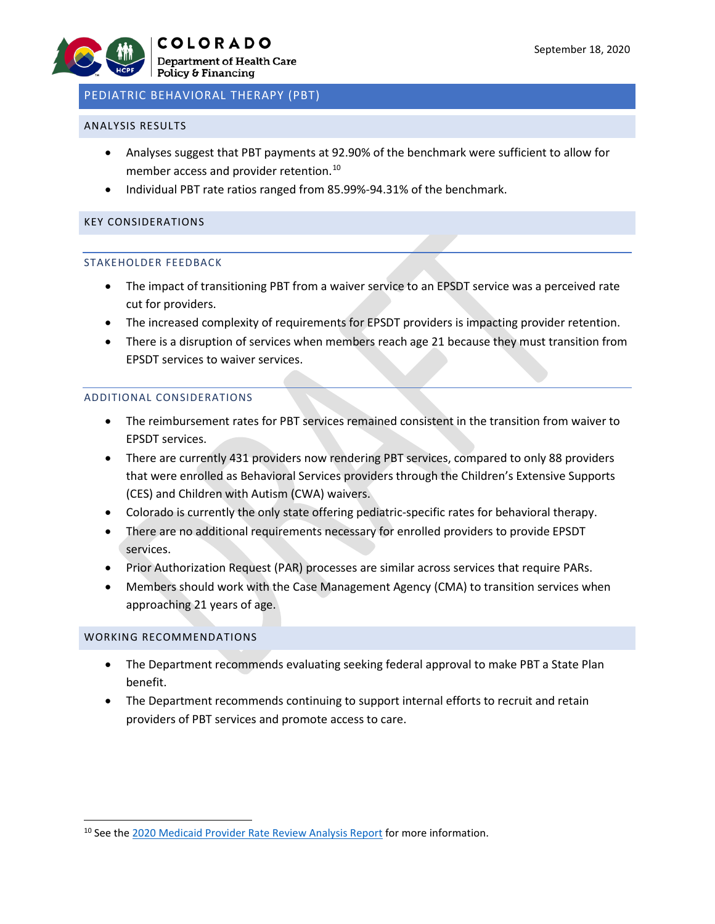# PEDIATRIC BEHAVIORAL THERAPY (PBT)

#### ANALYSIS RESULTS

- Analyses suggest that PBT payments at 92.90% of the benchmark were sufficient to allow for member access and provider retention.<sup>[10](#page-5-0)</sup>
- Individual PBT rate ratios ranged from 85.99%-94.31% of the benchmark.

#### KEY CONSIDERATIONS

#### STAKEHOLDER FEEDBACK

- The impact of transitioning PBT from a waiver service to an EPSDT service was a perceived rate cut for providers.
- The increased complexity of requirements for EPSDT providers is impacting provider retention.
- There is a disruption of services when members reach age 21 because they must transition from EPSDT services to waiver services.

#### ADDITIONAL CONSIDERATIONS

- The reimbursement rates for PBT services remained consistent in the transition from waiver to EPSDT services.
- There are currently 431 providers now rendering PBT services, compared to only 88 providers that were enrolled as Behavioral Services providers through the Children's Extensive Supports (CES) and Children with Autism (CWA) waivers.
- Colorado is currently the only state offering pediatric-specific rates for behavioral therapy.
- There are no additional requirements necessary for enrolled providers to provide EPSDT services.
- Prior Authorization Request (PAR) processes are similar across services that require PARs.
- Members should work with the Case Management Agency (CMA) to transition services when approaching 21 years of age.

- The Department recommends evaluating seeking federal approval to make PBT a State Plan benefit.
- The Department recommends continuing to support internal efforts to recruit and retain providers of PBT services and promote access to care.

<span id="page-5-0"></span><sup>&</sup>lt;sup>10</sup> See th[e 2020 Medicaid Provider Rate Review Analysis Report](https://www.colorado.gov/pacific/sites/default/files/2020%20Medicaid%20Provider%20Rate%20Review%20Analysis%20Report.pdf) for more information.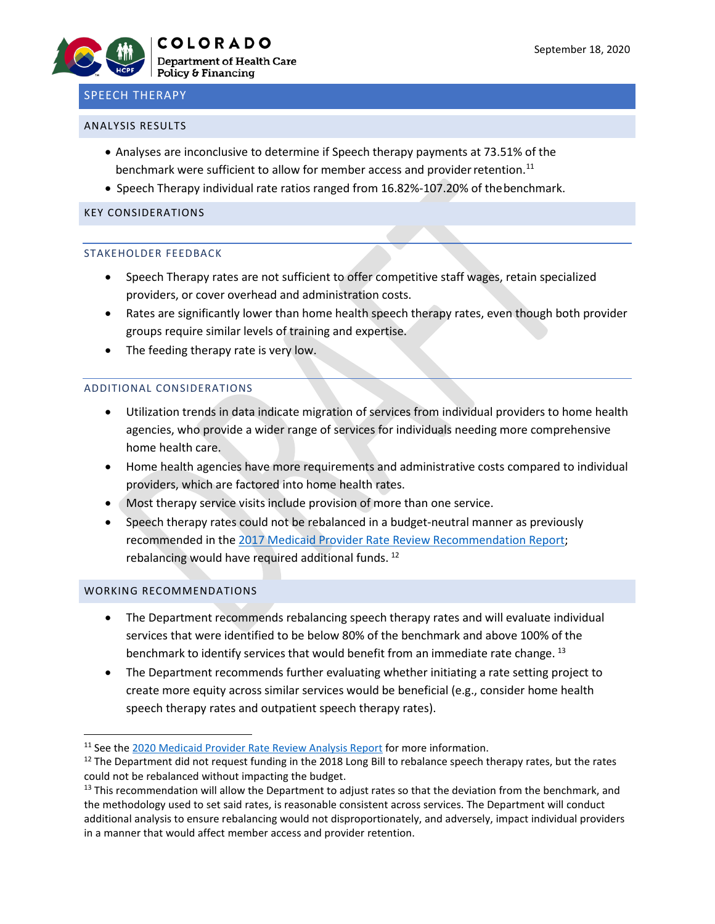# SPEECH THERAPY

#### ANALYSIS RESULTS

- Analyses are inconclusive to determine if Speech therapy payments at 73.51% of the benchmark were sufficient to allow for member access and provider retention.<sup>[11](#page-6-0)</sup>
- Speech Therapy individual rate ratios ranged from 16.82%-107.20% of thebenchmark.

#### KEY CONSIDERATIONS

#### STAKEHOLDER FEEDBACK

- Speech Therapy rates are not sufficient to offer competitive staff wages, retain specialized providers, or cover overhead and administration costs.
- Rates are significantly lower than home health speech therapy rates, even though both provider groups require similar levels of training and expertise.
- The feeding therapy rate is very low.

#### ADDITIONAL CONSIDERATIONS

- Utilization trends in data indicate migration of services from individual providers to home health agencies, who provide a wider range of services for individuals needing more comprehensive home health care.
- Home health agencies have more requirements and administrative costs compared to individual providers, which are factored into home health rates.
- Most therapy service visits include provision of more than one service.
- Speech therapy rates could not be rebalanced in a budget-neutral manner as previously recommended in the [2017 Medicaid Provider Rate Review Recommendation Report;](https://www.colorado.gov/pacific/sites/default/files/2017%20Medicaid%20Provider%20Rate%20Review%20Recommendation%20Report%20November%202017_0.pdf) rebalancing would have required additional funds.<sup>[12](#page-6-1)</sup>

- The Department recommends rebalancing speech therapy rates and will evaluate individual services that were identified to be below 80% of the benchmark and above 100% of the benchmark to identify services that would benefit from an immediate rate change.<sup>[13](#page-6-2)</sup>
- The Department recommends further evaluating whether initiating a rate setting project to create more equity across similar services would be beneficial (e.g., consider home health speech therapy rates and outpatient speech therapy rates).

<span id="page-6-0"></span><sup>&</sup>lt;sup>11</sup> See th[e 2020 Medicaid Provider Rate Review Analysis Report](https://www.colorado.gov/pacific/sites/default/files/2020%20Medicaid%20Provider%20Rate%20Review%20Analysis%20Report.pdf) for more information.

<span id="page-6-1"></span> $12$  The Department did not request funding in the 2018 Long Bill to rebalance speech therapy rates, but the rates could not be rebalanced without impacting the budget.<br><sup>13</sup> This recommendation will allow the Department to adjust rates so that the deviation from the benchmark, and

<span id="page-6-2"></span>the methodology used to set said rates, is reasonable consistent across services. The Department will conduct additional analysis to ensure rebalancing would not disproportionately, and adversely, impact individual providers in a manner that would affect member access and provider retention.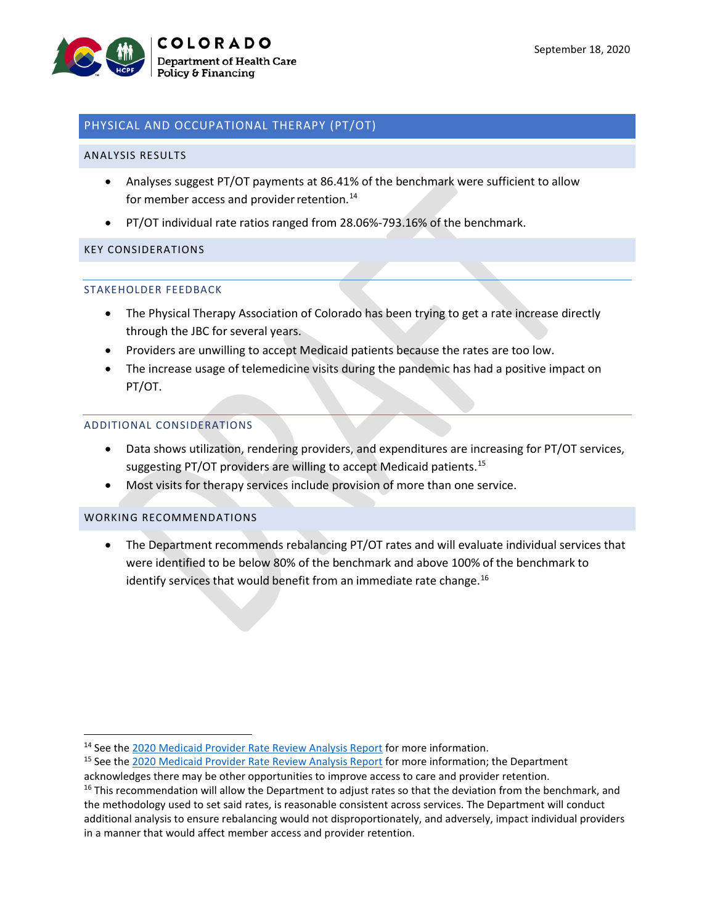

# PHYSICAL AND OCCUPATIONAL THERAPY (PT/OT)

#### ANALYSIS RESULTS

- Analyses suggest PT/OT payments at 86.41% of the benchmark were sufficient to allow for member access and provider retention.<sup>[14](#page-7-0)</sup>
- PT/OT individual rate ratios ranged from 28.06%-793.16% of the benchmark.

#### KEY CONSIDERATIONS

#### STAKEHOLDER FEEDBACK

- The Physical Therapy Association of Colorado has been trying to get a rate increase directly through the JBC for several years.
- Providers are unwilling to accept Medicaid patients because the rates are too low.
- The increase usage of telemedicine visits during the pandemic has had a positive impact on PT/OT.

#### ADDITIONAL CONSIDERATIONS

- Data shows utilization, rendering providers, and expenditures are increasing for PT/OT services, suggesting PT/OT providers are willing to accept Medicaid patients.<sup>[15](#page-7-1)</sup>
- Most visits for therapy services include provision of more than one service.

#### WORKING RECOMMENDATIONS

• The Department recommends rebalancing PT/OT rates and will evaluate individual services that were identified to be below 80% of the benchmark and above 100% of the benchmark to identify services that would benefit from an immediate rate change.<sup>[16](#page-7-2)</sup>

<span id="page-7-0"></span><sup>&</sup>lt;sup>14</sup> See th[e 2020 Medicaid Provider Rate Review Analysis Report](https://www.colorado.gov/pacific/sites/default/files/2020%20Medicaid%20Provider%20Rate%20Review%20Analysis%20Report.pdf) for more information.

<span id="page-7-1"></span><sup>&</sup>lt;sup>15</sup> See th[e 2020 Medicaid Provider Rate Review Analysis Report](https://www.colorado.gov/pacific/sites/default/files/2020%20Medicaid%20Provider%20Rate%20Review%20Analysis%20Report.pdf) for more information; the Department acknowledges there may be other opportunities to improve access to care and provider retention.

<span id="page-7-2"></span><sup>&</sup>lt;sup>16</sup> This recommendation will allow the Department to adjust rates so that the deviation from the benchmark, and the methodology used to set said rates, is reasonable consistent across services. The Department will conduct additional analysis to ensure rebalancing would not disproportionately, and adversely, impact individual providers in a manner that would affect member access and provider retention.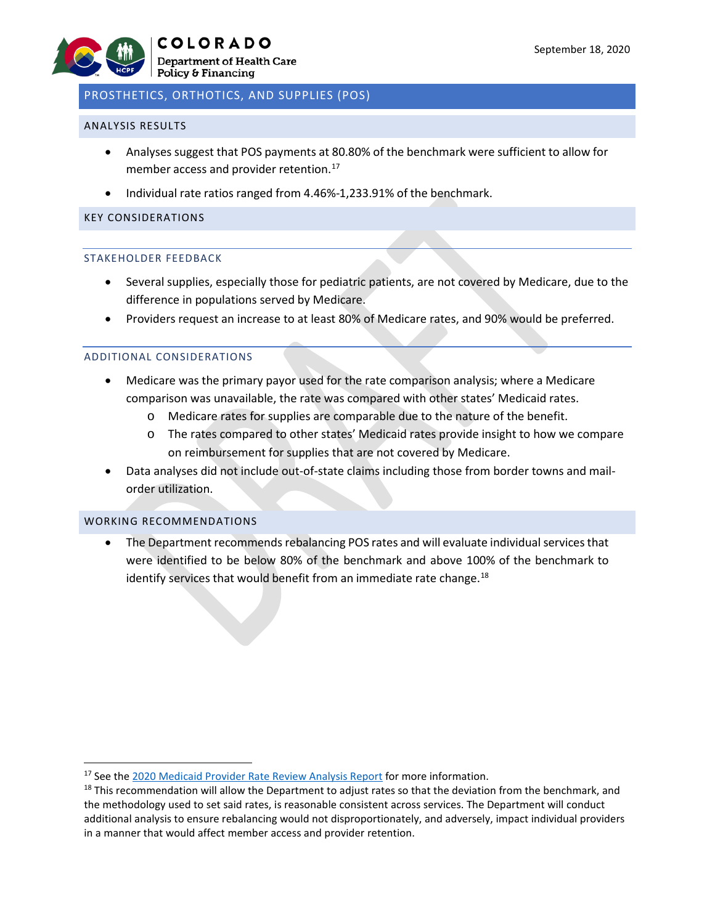# PROSTHETICS, ORTHOTICS, AND SUPPLIES (POS)

#### ANALYSIS RESULTS

- Analyses suggest that POS payments at 80.80% of the benchmark were sufficient to allow for member access and provider retention.<sup>[17](#page-8-0)</sup>
- Individual rate ratios ranged from 4.46%-1,233.91% of the benchmark.

#### KEY CONSIDERATIONS

#### STAKEHOLDER FEEDBACK

- Several supplies, especially those for pediatric patients, are not covered by Medicare, due to the difference in populations served by Medicare.
- Providers request an increase to at least 80% of Medicare rates, and 90% would be preferred.

#### ADDITIONAL CONSIDERATIONS

- Medicare was the primary payor used for the rate comparison analysis; where a Medicare comparison was unavailable, the rate was compared with other states' Medicaid rates.
	- o Medicare rates for supplies are comparable due to the nature of the benefit.
	- o The rates compared to other states' Medicaid rates provide insight to how we compare on reimbursement for supplies that are not covered by Medicare.
- Data analyses did not include out-of-state claims including those from border towns and mailorder utilization.

#### WORKING RECOMMENDATIONS

• The Department recommends rebalancing POS rates and will evaluate individual services that were identified to be below 80% of the benchmark and above 100% of the benchmark to identify services that would benefit from an immediate rate change. $^{18}$  $^{18}$  $^{18}$ 

<span id="page-8-0"></span><sup>&</sup>lt;sup>17</sup> See th[e 2020 Medicaid Provider Rate Review Analysis Report](https://www.colorado.gov/pacific/sites/default/files/2020%20Medicaid%20Provider%20Rate%20Review%20Analysis%20Report.pdf) for more information.

<span id="page-8-1"></span><sup>&</sup>lt;sup>18</sup> This recommendation will allow the Department to adjust rates so that the deviation from the benchmark, and the methodology used to set said rates, is reasonable consistent across services. The Department will conduct additional analysis to ensure rebalancing would not disproportionately, and adversely, impact individual providers in a manner that would affect member access and provider retention.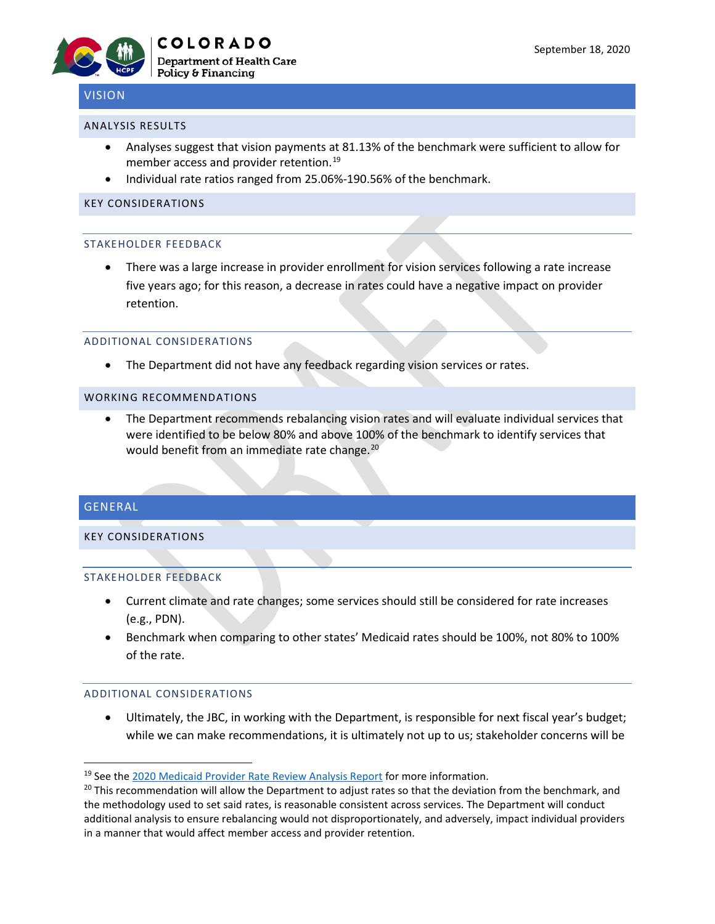

# VISION

#### ANALYSIS RESULTS

- Analyses suggest that vision payments at 81.13% of the benchmark were sufficient to allow for member access and provider retention. [19](#page-9-0)
- Individual rate ratios ranged from 25.06%-190.56% of the benchmark.

#### KEY CONSIDERATIONS

#### STAKEHOLDER FEEDBACK

• There was a large increase in provider enrollment for vision services following a rate increase five years ago; for this reason, a decrease in rates could have a negative impact on provider retention.

#### ADDITIONAL CONSIDERATIONS

• The Department did not have any feedback regarding vision services or rates.

### WORKING RECOMMENDATIONS

• The Department recommends rebalancing vision rates and will evaluate individual services that were identified to be below 80% and above 100% of the benchmark to identify services that would benefit from an immediate rate change.<sup>[20](#page-9-1)</sup>

# GENERAL

# KEY CONSIDERATIONS

# STAKEHOLDER FEEDBACK

- Current climate and rate changes; some services should still be considered for rate increases (e.g., PDN).
- Benchmark when comparing to other states' Medicaid rates should be 100%, not 80% to 100% of the rate.

#### ADDITIONAL CONSIDERATIONS

• Ultimately, the JBC, in working with the Department, is responsible for next fiscal year's budget; while we can make recommendations, it is ultimately not up to us; stakeholder concerns will be

<span id="page-9-0"></span><sup>&</sup>lt;sup>19</sup> See th[e 2020 Medicaid Provider Rate Review Analysis Report](https://www.colorado.gov/pacific/sites/default/files/2020%20Medicaid%20Provider%20Rate%20Review%20Analysis%20Report.pdf) for more information.

<span id="page-9-1"></span> $20$  This recommendation will allow the Department to adjust rates so that the deviation from the benchmark, and the methodology used to set said rates, is reasonable consistent across services. The Department will conduct additional analysis to ensure rebalancing would not disproportionately, and adversely, impact individual providers in a manner that would affect member access and provider retention.